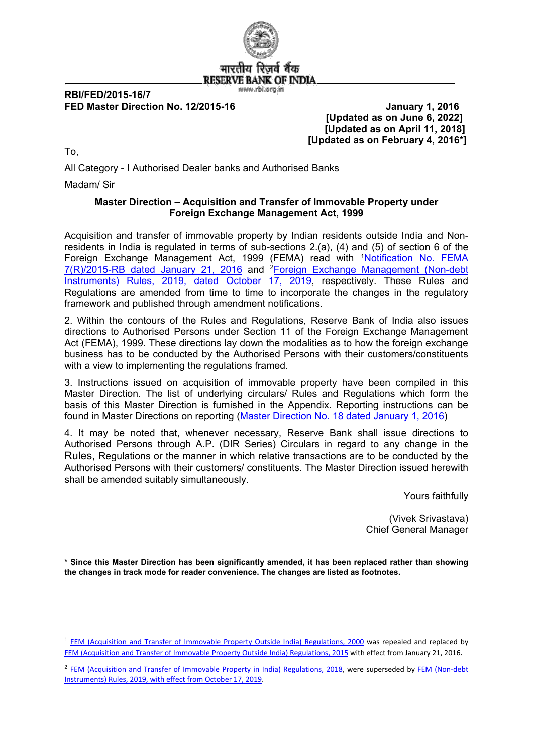

## **RBI/FED/2015-16/7 FED Master Direction No. 12/2015-16 January 1, 2016**

 **[Updated as on June 6, 2022] [Updated as on April 11, 2018] [Updated as on February 4, 2016\*]**

To,

All Category - I Authorised Dealer banks and Authorised Banks

Madam/ Sir

## **Master Direction – Acquisition and Transfer of Immovable Property under Foreign Exchange Management Act, 1999**

Acquisition and transfer of immovable property by Indian residents outside India and Nonresidents in India is regulated in terms of sub-sections 2.(a), (4) and (5) of section 6 of the Foreign Exchange Management Act, [1](#page-0-0)999 (FEMA) read with <sup>1</sup>Notification No. FEMA [7\(R\)/2015-RB dated January 21, 2016](https://www.rbi.org.in/Scripts/NotificationUser.aspx?Id=10257&Mode=0) and [2](#page-0-1)[Foreign Exchange Management \(Non-debt](https://rbi.org.in/Scripts/NotificationUser.aspx?Id=11723&Mode=0)  [Instruments\) Rules, 2019, dated October 17, 2019,](https://rbi.org.in/Scripts/NotificationUser.aspx?Id=11723&Mode=0) respectively. These Rules and Regulations are amended from time to time to incorporate the changes in the regulatory framework and published through amendment notifications.

2. Within the contours of the Rules and Regulations, Reserve Bank of India also issues directions to Authorised Persons under Section 11 of the Foreign Exchange Management Act (FEMA), 1999. These directions lay down the modalities as to how the foreign exchange business has to be conducted by the Authorised Persons with their customers/constituents with a view to implementing the regulations framed.

3. Instructions issued on acquisition of immovable property have been compiled in this Master Direction. The list of underlying circulars/ Rules and Regulations which form the basis of this Master Direction is furnished in the Appendix. Reporting instructions can be found in Master Directions on reporting [\(Master Direction No. 18 dated January 1, 2016\)](https://rbi.org.in/Scripts/BS_ViewMasterDirections.aspx?id=10202)

4. It may be noted that, whenever necessary, Reserve Bank shall issue directions to Authorised Persons through A.P. (DIR Series) Circulars in regard to any change in the Rules, Regulations or the manner in which relative transactions are to be conducted by the Authorised Persons with their customers/ constituents. The Master Direction issued herewith shall be amended suitably simultaneously.

Yours faithfully

(Vivek Srivastava) Chief General Manager

**\* Since this Master Direction has been significantly amended, it has been replaced rather than showing the changes in track mode for reader convenience. The changes are listed as footnotes.**

<span id="page-0-0"></span> <sup>1</sup> [FEM \(Acquisition and Transfer of Immovable Property Outside India\) Regulations, 2000](https://rbi.org.in/Scripts/NotificationUser.aspx?Id=161&Mode=0) was repealed and replaced by [FEM \(Acquisition and Transfer of Immovable Property Outside India\) Regulations, 2015](https://www.rbi.org.in/Scripts/NotificationUser.aspx?Id=10257&Mode=0) with effect from January 21, 2016.

<span id="page-0-1"></span><sup>&</sup>lt;sup>2</sup> [FEM \(Acquisition and Transfer of Immovable Property in India\) Regulations, 2018,](https://rbi.org.in/Scripts/NotificationUser.aspx?Id=11248&Mode=0) were superseded by FEM (Non-debt [Instruments\) Rules, 2019, with effect from October 17, 2019.](https://rbi.org.in/Scripts/NotificationUser.aspx?Id=11723&Mode=0)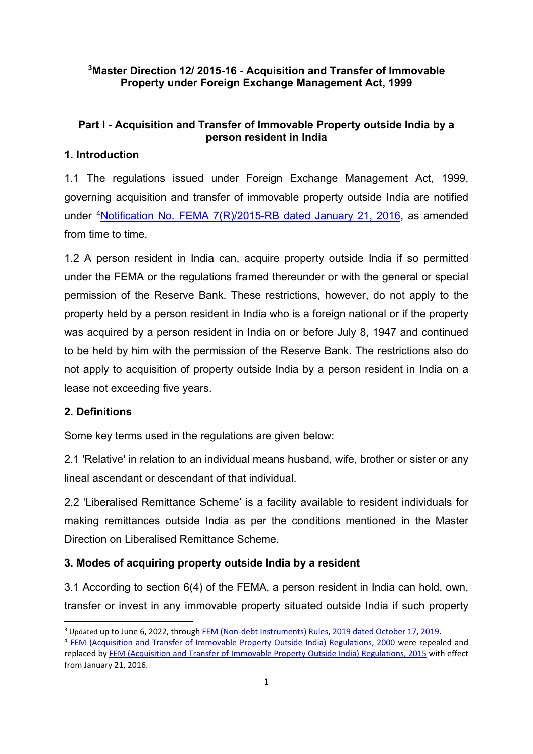## **[3](#page-1-0)Master Direction 12/ 2015-16 - Acquisition and Transfer of Immovable Property under Foreign Exchange Management Act, 1999**

## **Part I - Acquisition and Transfer of Immovable Property outside India by a person resident in India**

## **1. Introduction**

1.1 The regulations issued under Foreign Exchange Management Act, 1999, governing acquisition and transfer of immovable property outside India are notified under [4](#page-1-1)Notification No. [FEMA 7\(R\)/2015-RB dated January 21, 2016,](https://www.rbi.org.in/Scripts/NotificationUser.aspx?Id=10257&Mode=0) as amended from time to time.

1.2 A person resident in India can, acquire property outside India if so permitted under the FEMA or the regulations framed thereunder or with the general or special permission of the Reserve Bank. These restrictions, however, do not apply to the property held by a person resident in India who is a foreign national or if the property was acquired by a person resident in India on or before July 8, 1947 and continued to be held by him with the permission of the Reserve Bank. The restrictions also do not apply to acquisition of property outside India by a person resident in India on a lease not exceeding five years.

## **2. Definitions**

Some key terms used in the regulations are given below:

2.1 'Relative' in relation to an individual means husband, wife, brother or sister or any lineal ascendant or descendant of that individual.

2.2 'Liberalised Remittance Scheme' is a facility available to resident individuals for making remittances outside India as per the conditions mentioned in the Master Direction on Liberalised Remittance Scheme.

## **3. Modes of acquiring property outside India by a resident**

3.1 According to section 6(4) of the FEMA, a person resident in India can hold, own, transfer or invest in any immovable property situated outside India if such property

<span id="page-1-0"></span> <sup>3</sup> Updated up to June 6, 2022, through [FEM \(Non-debt Instruments\) Rules, 2019 dated October 17, 2019.](https://rbi.org.in/Scripts/NotificationUser.aspx?Id=11723&Mode=0)

<span id="page-1-1"></span><sup>4</sup> [FEM \(Acquisition and Transfer of Immovable Property Outside India\) Regulations, 2000](https://rbi.org.in/Scripts/NotificationUser.aspx?Id=161&Mode=0) were repealed and replaced by [FEM \(Acquisition and Transfer of Immovable Property Outside India\) Regulations, 2015](https://www.rbi.org.in/Scripts/NotificationUser.aspx?Id=10257&Mode=0) with effect from January 21, 2016.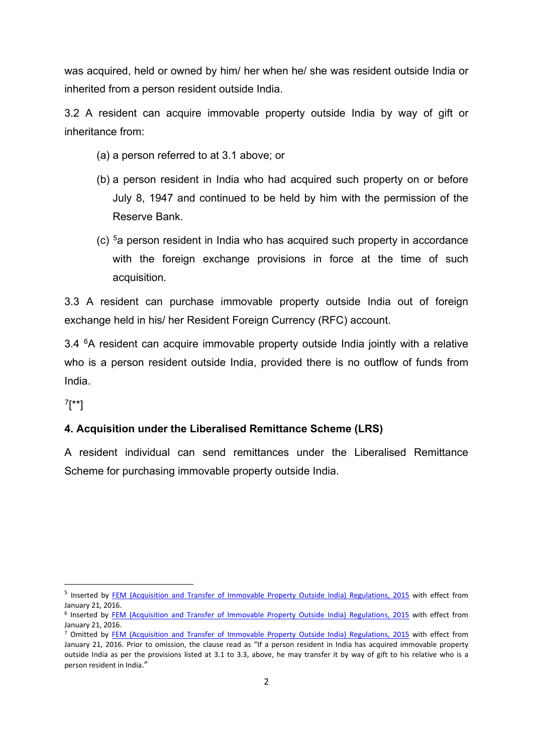was acquired, held or owned by him/ her when he/ she was resident outside India or inherited from a person resident outside India.

3.2 A resident can acquire immovable property outside India by way of gift or inheritance from:

- (a) a person referred to at 3.1 above; or
- (b) a person resident in India who had acquired such property on or before July 8, 1947 and continued to be held by him with the permission of the Reserve Bank.
- (c) [5a](#page-2-0) person resident in India who has acquired such property in accordance with the foreign exchange provisions in force at the time of such acquisition.

3.3 A resident can purchase immovable property outside India out of foreign exchange held in his/ her Resident Foreign Currency (RFC) account.

3.4 <sup>[6](#page-2-1)</sup>A resident can acquire immovable property outside India jointly with a relative who is a person resident outside India, provided there is no outflow of funds from India.

[7\[](#page-2-2)\*\*]

## **4. Acquisition under the Liberalised Remittance Scheme (LRS)**

A resident individual can send remittances under the Liberalised Remittance Scheme for purchasing immovable property outside India.

<span id="page-2-0"></span><sup>&</sup>lt;sup>5</sup> Inserted by [FEM \(Acquisition and Transfer of Immovable Property Outside India\) Regulations, 2015](https://www.rbi.org.in/Scripts/NotificationUser.aspx?Id=10257&Mode=0) with effect from January 21, 2016.

<span id="page-2-1"></span><sup>&</sup>lt;sup>6</sup> Inserted by **FEM (Acquisition and Transfer of Immovable Property Outside India) Regulations, 2015 with effect from** January 21, 2016.

<span id="page-2-2"></span><sup>&</sup>lt;sup>7</sup> Omitted by [FEM \(Acquisition and Transfer of Immovable Property Outside India\) Regulations, 2015](https://www.rbi.org.in/Scripts/NotificationUser.aspx?Id=10257&Mode=0) with effect from January 21, 2016. Prior to omission, the clause read as "If a person resident in India has acquired immovable property outside India as per the provisions listed at 3.1 to 3.3, above, he may transfer it by way of gift to his relative who is a person resident in India."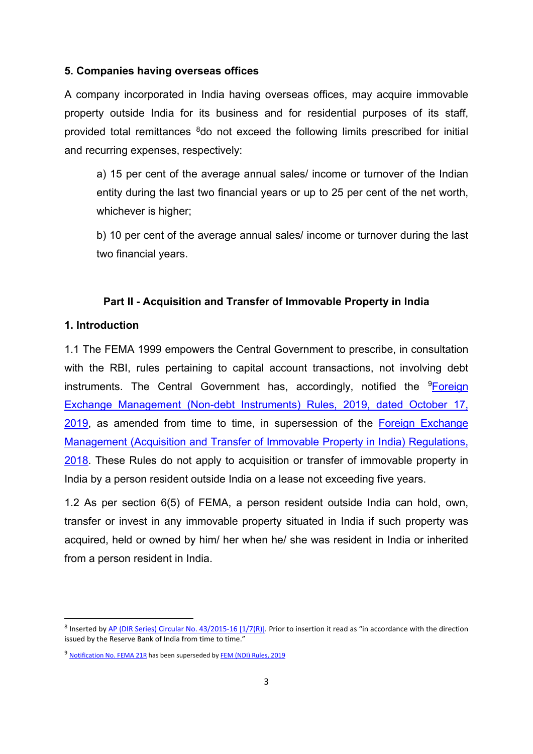#### **5. Companies having overseas offices**

A company incorporated in India having overseas offices, may acquire immovable property outside India for its business and for residential purposes of its staff, provided total remittances <sup>8</sup>do not exceed the following limits prescribed for initial and recurring expenses, respectively:

a) 15 per cent of the average annual sales/ income or turnover of the Indian entity during the last two financial years or up to 25 per cent of the net worth, whichever is higher;

b) 10 per cent of the average annual sales/ income or turnover during the last two financial years.

#### **Part II - Acquisition and Transfer of Immovable Property in India**

#### **1. Introduction**

1.1 The FEMA 1999 empowers the Central Government to prescribe, in consultation with the RBI, rules pertaining to capital account transactions, not involving debt instruments. The Central Government has, accordingly, notified the <sup>[9](#page-3-1)</sup>Foreign [Exchange Management \(Non-debt Instruments\) Rules, 2019, dated October 17,](https://rbi.org.in/Scripts/NotificationUser.aspx?Id=11723&Mode=0)  [2019,](https://rbi.org.in/Scripts/NotificationUser.aspx?Id=11723&Mode=0) as amended from time to time, in supersession of the [Foreign Exchange](https://www.rbi.org.in/Scripts/NotificationUser.aspx?Id=11248&Mode=0)  [Management \(Acquisition and Transfer of Immovable Property in India\) Regulations,](https://www.rbi.org.in/Scripts/NotificationUser.aspx?Id=11248&Mode=0)  [2018.](https://www.rbi.org.in/Scripts/NotificationUser.aspx?Id=11248&Mode=0) These Rules do not apply to acquisition or transfer of immovable property in India by a person resident outside India on a lease not exceeding five years.

1.2 As per section 6(5) of FEMA, a person resident outside India can hold, own, transfer or invest in any immovable property situated in India if such property was acquired, held or owned by him/ her when he/ she was resident in India or inherited from a person resident in India.

<span id="page-3-0"></span><sup>&</sup>lt;sup>8</sup> Inserted b[y AP \(DIR Series\) Circular No. 43/2015-16 \[1/7\(R\)\].](https://www.rbi.org.in/Scripts/NotificationUser.aspx?Id=10264&Mode=0) Prior to insertion it read as "in accordance with the direction issued by the Reserve Bank of India from time to time."

<span id="page-3-1"></span><sup>9</sup> [Notification No. FEMA 21R](https://rbi.org.in/Scripts/NotificationUser.aspx?Id=11248&Mode=0) has been superseded b[y FEM \(NDI\) Rules, 2019](https://rbi.org.in/Scripts/NotificationUser.aspx?Id=11723&Mode=0)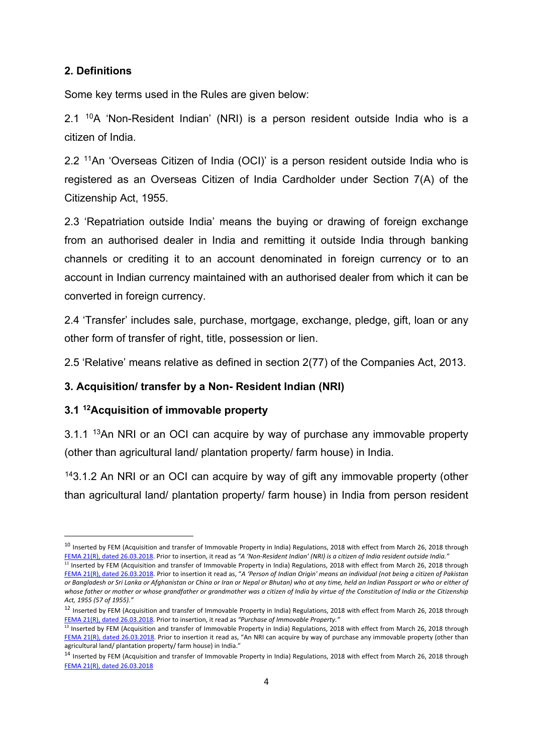## **2. Definitions**

Some key terms used in the Rules are given below:

2.1 [10](#page-4-0)A 'Non-Resident Indian' (NRI) is a person resident outside India who is a citizen of India.

2.2 [11](#page-4-1)An 'Overseas Citizen of India (OCI)' is a person resident outside India who is registered as an Overseas Citizen of India Cardholder under Section 7(A) of the Citizenship Act, 1955.

2.3 'Repatriation outside India' means the buying or drawing of foreign exchange from an authorised dealer in India and remitting it outside India through banking channels or crediting it to an account denominated in foreign currency or to an account in Indian currency maintained with an authorised dealer from which it can be converted in foreign currency.

2.4 'Transfer' includes sale, purchase, mortgage, exchange, pledge, gift, loan or any other form of transfer of right, title, possession or lien.

2.5 'Relative' means relative as defined in section 2(77) of the Companies Act, 2013.

#### **3. Acquisition/ transfer by a Non- Resident Indian (NRI)**

#### **3.1 [12](#page-4-2)Acquisition of immovable property**

3.1.1 <sup>[13](#page-4-3)</sup>An NRI or an OCI can acquire by way of purchase any immovable property (other than agricultural land/ plantation property/ farm house) in India.

<sup>[14](#page-4-4)</sup>3.1.2 An NRI or an OCI can acquire by way of gift any immovable property (other than agricultural land/ plantation property/ farm house) in India from person resident

<span id="page-4-0"></span> $10$  Inserted by FEM (Acquisition and transfer of Immovable Property in India) Regulations, 2018 with effect from March 26, 2018 through [FEMA 21\(R\), dated 26.03.2018.](https://rbi.org.in/Scripts/NotificationUser.aspx?Id=11248&Mode=0) Prior to insertion, it read as *"A 'Non-Resident Indian' (NRI) is a citizen of India resident outside India."*

<span id="page-4-1"></span><sup>11</sup> Inserted by FEM (Acquisition and transfer of Immovable Property in India) Regulations, 2018 with effect from March 26, 2018 through [FEMA 21\(R\), dated 26.03.2018.](https://rbi.org.in/Scripts/NotificationUser.aspx?Id=11248&Mode=0) Prior to insertion it read as, "*A 'Person of Indian Origin' means an individual (not being a citizen of Pakistan or Bangladesh or Sri Lanka or Afghanistan or China or Iran or Nepal or Bhutan) who at any time, held an Indian Passport or who or either of whose father or mother or whose grandfather or grandmother was a citizen of India by virtue of the Constitution of India or the Citizenship Act, 1955 (57 of 1955)."*

<span id="page-4-2"></span><sup>12</sup> Inserted by FEM (Acquisition and transfer of Immovable Property in India) Regulations, 2018 with effect from March 26, 2018 through [FEMA 21\(R\), dated 26.03.2018.](https://rbi.org.in/Scripts/NotificationUser.aspx?Id=11248&Mode=0) Prior to insertion, it read as *"Purchase of Immovable Property."*

<span id="page-4-3"></span><sup>&</sup>lt;sup>13</sup> Inserted by FEM (Acquisition and transfer of Immovable Property in India) Regulations, 2018 with effect from March 26, 2018 through [FEMA 21\(R\), dated 26.03.2018.](https://rbi.org.in/Scripts/NotificationUser.aspx?Id=11248&Mode=0) Prior to insertion it read as, "An NRI can acquire by way of purchase any immovable property (other than agricultural land/ plantation property/ farm house) in India."

<span id="page-4-4"></span><sup>14</sup> Inserted by FEM (Acquisition and transfer of Immovable Property in India) Regulations, 2018 with effect from March 26, 2018 through [FEMA 21\(R\), dated 26.03.2018](https://rbi.org.in/Scripts/NotificationUser.aspx?Id=11248&Mode=0)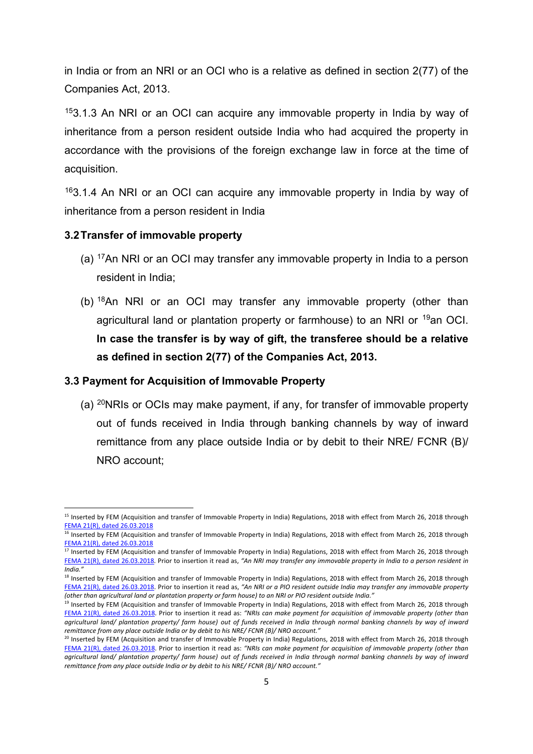in India or from an NRI or an OCI who is a relative as defined in section 2(77) of the Companies Act, 2013.

[15](#page-5-0)3.1.3 An NRI or an OCI can acquire any immovable property in India by way of inheritance from a person resident outside India who had acquired the property in accordance with the provisions of the foreign exchange law in force at the time of acquisition.

<sup>[16](#page-5-1)</sup>3.1.4 An NRI or an OCI can acquire any immovable property in India by way of inheritance from a person resident in India

#### **3.2Transfer of immovable property**

- (a) [17](#page-5-2)An NRI or an OCI may transfer any immovable property in India to a person resident in India;
- (b)  $18$ An NRI or an OCI may transfer any immovable property (other than agricultural land or plantation property or farmhouse) to an NRI or [19a](#page-5-4)n OCI. **In case the transfer is by way of gift, the transferee should be a relative as defined in section 2(77) of the Companies Act, 2013.**

#### **3.3 Payment for Acquisition of Immovable Property**

(a) <sup>[20](#page-5-5)</sup>NRIs or OCIs may make payment, if any, for transfer of immovable property out of funds received in India through banking channels by way of inward remittance from any place outside India or by debit to their NRE/ FCNR (B)/ NRO account;

<span id="page-5-0"></span><sup>&</sup>lt;sup>15</sup> Inserted by FEM (Acquisition and transfer of Immovable Property in India) Regulations, 2018 with effect from March 26, 2018 through [FEMA 21\(R\), dated 26.03.2018](https://rbi.org.in/Scripts/NotificationUser.aspx?Id=11248&Mode=0)

<span id="page-5-1"></span><sup>&</sup>lt;sup>16</sup> Inserted by FEM (Acquisition and transfer of Immovable Property in India) Regulations, 2018 with effect from March 26, 2018 through [FEMA 21\(R\), dated 26.03.2018](https://rbi.org.in/Scripts/NotificationUser.aspx?Id=11248&Mode=0)

<span id="page-5-2"></span><sup>&</sup>lt;sup>17</sup> Inserted by FEM (Acquisition and transfer of Immovable Property in India) Regulations, 2018 with effect from March 26, 2018 through [FEMA 21\(R\), dated 26.03.2018.](https://rbi.org.in/Scripts/NotificationUser.aspx?Id=11248&Mode=0) Prior to insertion it read as, *"An NRI may transfer any immovable property in India to a person resident in India."*

<span id="page-5-3"></span><sup>&</sup>lt;sup>18</sup> Inserted by FEM (Acquisition and transfer of Immovable Property in India) Regulations, 2018 with effect from March 26, 2018 through [FEMA 21\(R\), dated 26.03.2018.](https://rbi.org.in/Scripts/NotificationUser.aspx?Id=11248&Mode=0) Prior to insertion it read as, *"An NRI or a PIO resident outside India may transfer any immovable property (other than agricultural land or plantation property or farm house) to an NRI or PIO resident outside India."*

<span id="page-5-4"></span><sup>&</sup>lt;sup>19</sup> Inserted by FEM (Acquisition and transfer of Immovable Property in India) Regulations, 2018 with effect from March 26, 2018 through [FEMA 21\(R\), dated 26.03.2018.](https://rbi.org.in/Scripts/NotificationUser.aspx?Id=11248&Mode=0) Prior to insertion it read as: *"NRIs can make payment for acquisition of immovable property (other than agricultural land/ plantation property/ farm house) out of funds received in India through normal banking channels by way of inward remittance from any place outside India or by debit to his NRE/ FCNR (B)/ NRO account."*

<span id="page-5-5"></span> $^{20}$  Inserted by FEM (Acquisition and transfer of Immovable Property in India) Regulations, 2018 with effect from March 26, 2018 through [FEMA 21\(R\), dated 26.03.2018.](https://rbi.org.in/Scripts/NotificationUser.aspx?Id=11248&Mode=0) Prior to insertion it read as: *"NRIs can make payment for acquisition of immovable property (other than agricultural land/ plantation property/ farm house) out of funds received in India through normal banking channels by way of inward remittance from any place outside India or by debit to his NRE/ FCNR (B)/ NRO account."*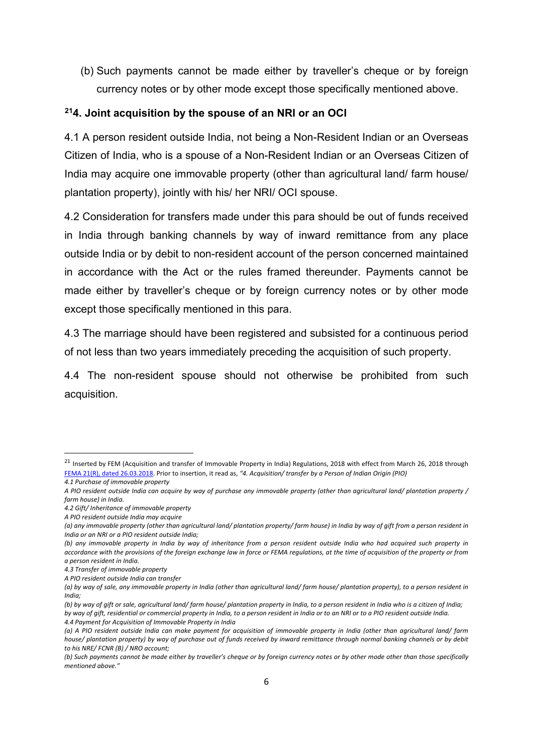(b) Such payments cannot be made either by traveller's cheque or by foreign currency notes or by other mode except those specifically mentioned above.

## **[21](#page-6-0)4. Joint acquisition by the spouse of an NRI or an OCI**

4.1 A person resident outside India, not being a Non-Resident Indian or an Overseas Citizen of India, who is a spouse of a Non-Resident Indian or an Overseas Citizen of India may acquire one immovable property (other than agricultural land/ farm house/ plantation property), jointly with his/ her NRI/ OCI spouse.

4.2 Consideration for transfers made under this para should be out of funds received in India through banking channels by way of inward remittance from any place outside India or by debit to non-resident account of the person concerned maintained in accordance with the Act or the rules framed thereunder. Payments cannot be made either by traveller's cheque or by foreign currency notes or by other mode except those specifically mentioned in this para.

4.3 The marriage should have been registered and subsisted for a continuous period of not less than two years immediately preceding the acquisition of such property.

4.4 The non-resident spouse should not otherwise be prohibited from such acquisition.

<span id="page-6-0"></span><sup>&</sup>lt;sup>21</sup> Inserted by FEM (Acquisition and transfer of Immovable Property in India) Regulations, 2018 with effect from March 26, 2018 through [FEMA 21\(R\), dated 26.03.2018.](https://rbi.org.in/Scripts/NotificationUser.aspx?Id=11248&Mode=0) Prior to insertion, it read as, *"4. Acquisition/ transfer by a Person of Indian Origin (PIO) 4.1 Purchase of immovable property* 

*A PIO resident outside India can acquire by way of purchase any immovable property (other than agricultural land/ plantation property / farm house) in India.* 

*<sup>4.2</sup> Gift/ Inheritance of immovable property* 

*A PIO resident outside India may acquire*

*<sup>(</sup>a) any immovable property (other than agricultural land/ plantation property/ farm house) in India by way of gift from a person resident in India or an NRI or a PIO resident outside India;*

*<sup>(</sup>b) any immovable property in India by way of inheritance from a person resident outside India who had acquired such property in accordance with the provisions of the foreign exchange law in force or FEMA regulations, at the time of acquisition of the property or from a person resident in India.* 

*<sup>4.3</sup> Transfer of immovable property* 

*A PIO resident outside India can transfer*

*<sup>(</sup>a) by way of sale, any immovable property in India (other than agricultural land/ farm house/ plantation property), to a person resident in India;*

*<sup>(</sup>b) by way of gift or sale, agricultural land/ farm house/ plantation property in India, to a person resident in India who is a citizen of India; by way of gift, residential or commercial property in India, to a person resident in India or to an NRI or to a PIO resident outside India. 4.4 Payment for Acquisition of Immovable Property in India*

*<sup>(</sup>a) A PIO resident outside India can make payment for acquisition of immovable property in India (other than agricultural land/ farm house/ plantation property) by way of purchase out of funds received by inward remittance through normal banking channels or by debit to his NRE/ FCNR (B) / NRO account;* 

*<sup>(</sup>b) Such payments cannot be made either by traveller's cheque or by foreign currency notes or by other mode other than those specifically mentioned above."*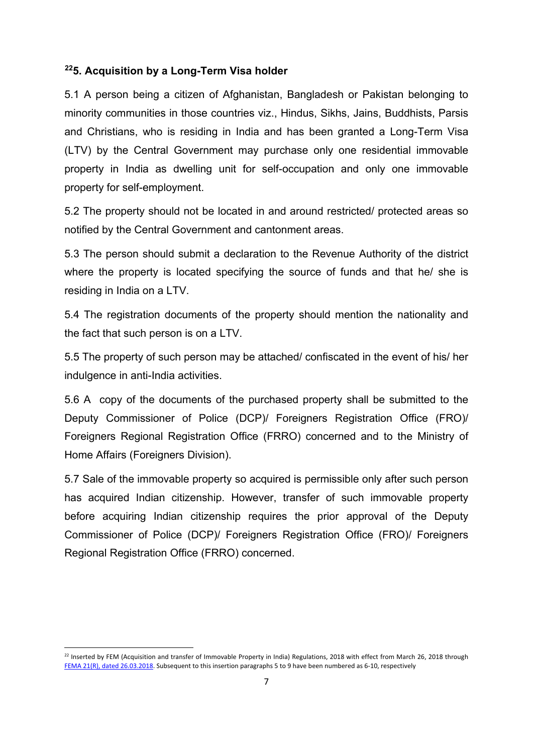#### **[22](#page-7-0)5. Acquisition by a Long-Term Visa holder**

5.1 A person being a citizen of Afghanistan, Bangladesh or Pakistan belonging to minority communities in those countries viz., Hindus, Sikhs, Jains, Buddhists, Parsis and Christians, who is residing in India and has been granted a Long-Term Visa (LTV) by the Central Government may purchase only one residential immovable property in India as dwelling unit for self-occupation and only one immovable property for self-employment.

5.2 The property should not be located in and around restricted/ protected areas so notified by the Central Government and cantonment areas.

5.3 The person should submit a declaration to the Revenue Authority of the district where the property is located specifying the source of funds and that he/ she is residing in India on a LTV.

5.4 The registration documents of the property should mention the nationality and the fact that such person is on a LTV.

5.5 The property of such person may be attached/ confiscated in the event of his/ her indulgence in anti-India activities.

5.6 A copy of the documents of the purchased property shall be submitted to the Deputy Commissioner of Police (DCP)/ Foreigners Registration Office (FRO)/ Foreigners Regional Registration Office (FRRO) concerned and to the Ministry of Home Affairs (Foreigners Division).

5.7 Sale of the immovable property so acquired is permissible only after such person has acquired Indian citizenship. However, transfer of such immovable property before acquiring Indian citizenship requires the prior approval of the Deputy Commissioner of Police (DCP)/ Foreigners Registration Office (FRO)/ Foreigners Regional Registration Office (FRRO) concerned.

<span id="page-7-0"></span> $^{22}$  Inserted by FEM (Acquisition and transfer of Immovable Property in India) Regulations, 2018 with effect from March 26, 2018 through [FEMA 21\(R\), dated 26.03.2018.](https://rbi.org.in/Scripts/NotificationUser.aspx?Id=11248&Mode=0) Subsequent to this insertion paragraphs 5 to 9 have been numbered as 6-10, respectively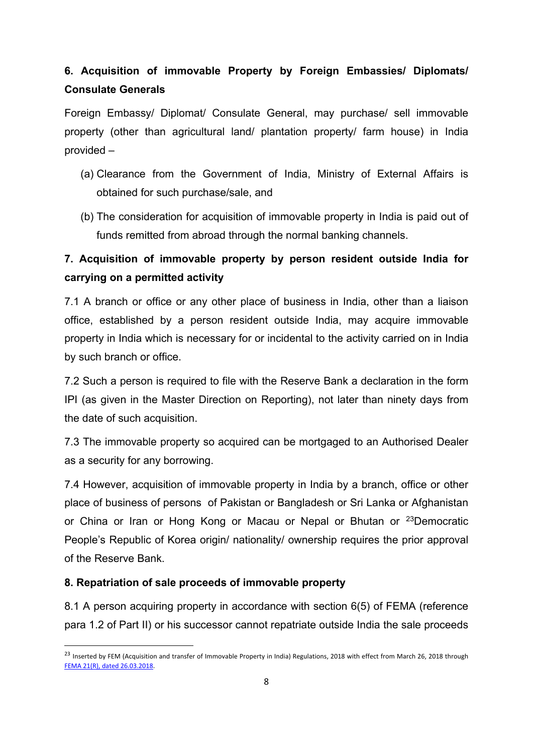# **6. Acquisition of immovable Property by Foreign Embassies/ Diplomats/ Consulate Generals**

Foreign Embassy/ Diplomat/ Consulate General, may purchase/ sell immovable property (other than agricultural land/ plantation property/ farm house) in India provided –

- (a) Clearance from the Government of India, Ministry of External Affairs is obtained for such purchase/sale, and
- (b) The consideration for acquisition of immovable property in India is paid out of funds remitted from abroad through the normal banking channels.

# **7. Acquisition of immovable property by person resident outside India for carrying on a permitted activity**

7.1 A branch or office or any other place of business in India, other than a liaison office, established by a person resident outside India, may acquire immovable property in India which is necessary for or incidental to the activity carried on in India by such branch or office.

7.2 Such a person is required to file with the Reserve Bank a declaration in the form IPI (as given in the Master Direction on Reporting), not later than ninety days from the date of such acquisition.

7.3 The immovable property so acquired can be mortgaged to an Authorised Dealer as a security for any borrowing.

7.4 However, acquisition of immovable property in India by a branch, office or other place of business of persons of Pakistan or Bangladesh or Sri Lanka or Afghanistan or China or Iran or Hong Kong or Macau or Nepal or Bhutan or [23D](#page-8-0)emocratic People's Republic of Korea origin/ nationality/ ownership requires the prior approval of the Reserve Bank.

## **8. Repatriation of sale proceeds of immovable property**

8.1 A person acquiring property in accordance with section 6(5) of FEMA (reference para 1.2 of Part II) or his successor cannot repatriate outside India the sale proceeds

<span id="page-8-0"></span><sup>&</sup>lt;sup>23</sup> Inserted by FEM (Acquisition and transfer of Immovable Property in India) Regulations, 2018 with effect from March 26, 2018 through [FEMA 21\(R\), dated 26.03.2018.](https://rbi.org.in/Scripts/NotificationUser.aspx?Id=11248&Mode=0)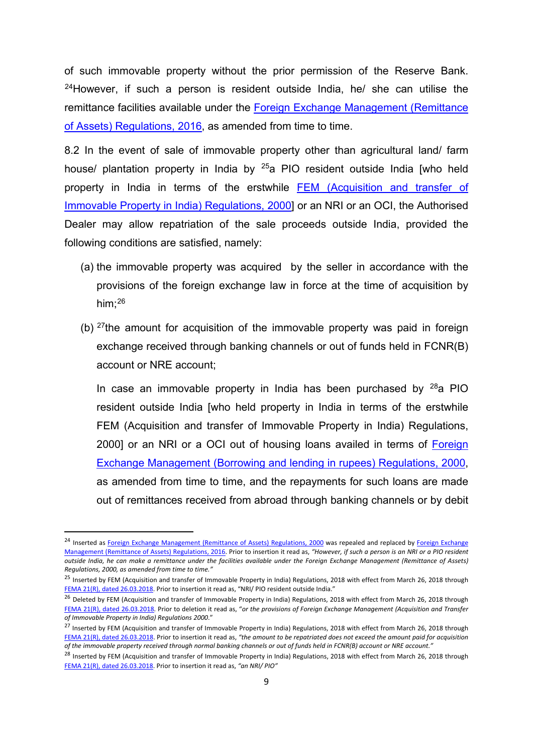of such immovable property without the prior permission of the Reserve Bank.  $24$ However, if such a person is resident outside India, he/ she can utilise the remittance facilities available under the [Foreign Exchange Management \(Remittance](https://www.rbi.org.in/Scripts/NotificationUser.aspx?Id=10371&Mode=0)  [of Assets\) Regulations, 2016,](https://www.rbi.org.in/Scripts/NotificationUser.aspx?Id=10371&Mode=0) as amended from time to time.

8.2 In the event of sale of immovable property other than agricultural land/ farm house/ plantation property in India by  $25a$  PIO resident outside India [who held property in India in terms of the erstwhile [FEM \(Acquisition and transfer of](https://www.rbi.org.in/Scripts/NotificationUser.aspx?Id=175&Mode=0)  [Immovable Property in India\) Regulations, 2000\]](https://www.rbi.org.in/Scripts/NotificationUser.aspx?Id=175&Mode=0) or an NRI or an OCI, the Authorised Dealer may allow repatriation of the sale proceeds outside India, provided the following conditions are satisfied, namely:

- (a) the immovable property was acquired by the seller in accordance with the provisions of the foreign exchange law in force at the time of acquisition by him; [26](#page-9-2)
- (b)  $27$ the amount for acquisition of the immovable property was paid in foreign exchange received through banking channels or out of funds held in FCNR(B) account or NRE account;

In case an immovable property in India has been purchased by  $^{28}$  $^{28}$  $^{28}$ a PIO resident outside India [who held property in India in terms of the erstwhile FEM (Acquisition and transfer of Immovable Property in India) Regulations, 2000] or an NRI or a OCI out of housing loans availed in terms of [Foreign](https://www.rbi.org.in/Scripts/NotificationUser.aspx?Id=158&Mode=0)  [Exchange Management \(Borrowing and lending in rupees\) Regulations, 2000,](https://www.rbi.org.in/Scripts/NotificationUser.aspx?Id=158&Mode=0) as amended from time to time, and the repayments for such loans are made out of remittances received from abroad through banking channels or by debit

<span id="page-9-0"></span><sup>&</sup>lt;sup>24</sup> Inserted as [Foreign Exchange Management \(Remittance of Assets\) Regulations, 2000](https://www.rbi.org.in/Scripts/NotificationUser.aspx?Id=167&Mode=0) was repealed and replaced by Foreign Exchange [Management \(Remittance of Assets\) Regulations, 2016.](https://www.rbi.org.in/Scripts/NotificationUser.aspx?Id=10371&Mode=0) Prior to insertion it read as, *"However, if such a person is an NRI or a PIO resident outside India, he can make a remittance under the facilities available under the Foreign Exchange Management (Remittance of Assets) Regulations, 2000, as amended from time to time."*

<span id="page-9-1"></span><sup>&</sup>lt;sup>25</sup> Inserted by FEM (Acquisition and transfer of Immovable Property in India) Regulations, 2018 with effect from March 26, 2018 through [FEMA 21\(R\), dated 26.03.2018.](https://rbi.org.in/Scripts/NotificationUser.aspx?Id=11248&Mode=0) Prior to insertion it read as, "NRI/ PIO resident outside India."

<span id="page-9-2"></span><sup>&</sup>lt;sup>26</sup> Deleted by FEM (Acquisition and transfer of Immovable Property in India) Regulations, 2018 with effect from March 26, 2018 through [FEMA 21\(R\), dated 26.03.2018.](https://rbi.org.in/Scripts/NotificationUser.aspx?Id=11248&Mode=0) Prior to deletion it read as, "*or the provisions of Foreign Exchange Management (Acquisition and Transfer of Immovable Property in India) Regulations 2000*."

<span id="page-9-3"></span><sup>&</sup>lt;sup>27</sup> Inserted by FEM (Acquisition and transfer of Immovable Property in India) Regulations, 2018 with effect from March 26, 2018 through [FEMA 21\(R\), dated 26.03.2018.](https://rbi.org.in/Scripts/NotificationUser.aspx?Id=11248&Mode=0) Prior to insertion it read as, *"the amount to be repatriated does not exceed the amount paid for acquisition of the immovable property received through normal banking channels or out of funds held in FCNR(B) account or NRE account."*

<span id="page-9-4"></span><sup>&</sup>lt;sup>28</sup> Inserted by FEM (Acquisition and transfer of Immovable Property in India) Regulations, 2018 with effect from March 26, 2018 through [FEMA 21\(R\), dated 26.03.2018.](https://rbi.org.in/Scripts/NotificationUser.aspx?Id=11248&Mode=0) Prior to insertion it read as, *"an NRI/ PIO"*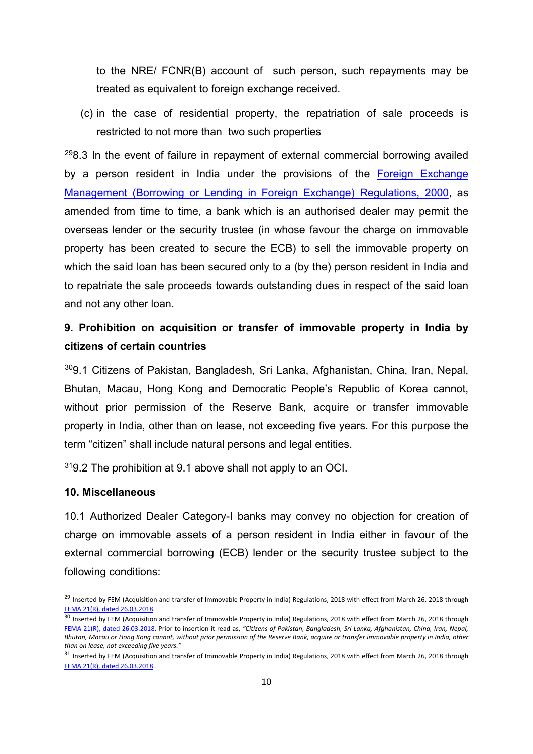to the NRE/ FCNR(B) account of such person, such repayments may be treated as equivalent to foreign exchange received.

(c) in the case of residential property, the repatriation of sale proceeds is restricted to not more than two such properties

 $298.3$  $298.3$  In the event of failure in repayment of external commercial borrowing availed by a person resident in India under the provisions of the Foreign Exchange [Management \(Borrowing or Lending in Foreign Exchange\) Regulations, 2000,](https://www.rbi.org.in/Scripts/NotificationUser.aspx?Id=157&Mode=0) as amended from time to time, a bank which is an authorised dealer may permit the overseas lender or the security trustee (in whose favour the charge on immovable property has been created to secure the ECB) to sell the immovable property on which the said loan has been secured only to a (by the) person resident in India and to repatriate the sale proceeds towards outstanding dues in respect of the said loan and not any other loan.

# **9. Prohibition on acquisition or transfer of immovable property in India by citizens of certain countries**

[30](#page-10-1)9.1 Citizens of Pakistan, Bangladesh, Sri Lanka, Afghanistan, China, Iran, Nepal, Bhutan, Macau, Hong Kong and Democratic People's Republic of Korea cannot, without prior permission of the Reserve Bank, acquire or transfer immovable property in India, other than on lease, not exceeding five years. For this purpose the term "citizen" shall include natural persons and legal entities.

[31](#page-10-2)9.2 The prohibition at 9.1 above shall not apply to an OCI.

#### **10. Miscellaneous**

10.1 Authorized Dealer Category-I banks may convey no objection for creation of charge on immovable assets of a person resident in India either in favour of the external commercial borrowing (ECB) lender or the security trustee subject to the following conditions:

<span id="page-10-0"></span><sup>&</sup>lt;sup>29</sup> Inserted by FEM (Acquisition and transfer of Immovable Property in India) Regulations, 2018 with effect from March 26, 2018 through [FEMA 21\(R\), dated 26.03.2018.](https://rbi.org.in/Scripts/NotificationUser.aspx?Id=11248&Mode=0)

<span id="page-10-1"></span><sup>&</sup>lt;sup>30</sup> Inserted by FEM (Acquisition and transfer of Immovable Property in India) Regulations, 2018 with effect from March 26, 2018 through [FEMA 21\(R\), dated 26.03.2018.](https://rbi.org.in/Scripts/NotificationUser.aspx?Id=11248&Mode=0) Prior to insertion it read as, *"Citizens of Pakistan, Bangladesh, Sri Lanka, Afghanistan, China, Iran, Nepal, Bhutan, Macau or Hong Kong cannot, without prior permission of the Reserve Bank, acquire or transfer immovable property in India, other than on lease, not exceeding five years."*

<span id="page-10-2"></span><sup>&</sup>lt;sup>31</sup> Inserted by FEM (Acquisition and transfer of Immovable Property in India) Regulations, 2018 with effect from March 26, 2018 through [FEMA 21\(R\), dated 26.03.2018.](https://rbi.org.in/Scripts/NotificationUser.aspx?Id=11248&Mode=0)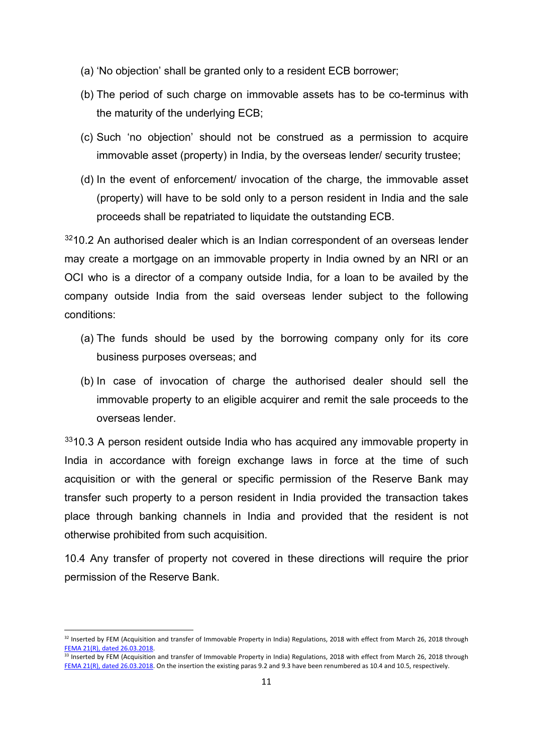- (a) 'No objection' shall be granted only to a resident ECB borrower;
- (b) The period of such charge on immovable assets has to be co-terminus with the maturity of the underlying ECB;
- (c) Such 'no objection' should not be construed as a permission to acquire immovable asset (property) in India, by the overseas lender/ security trustee;
- (d) In the event of enforcement/ invocation of the charge, the immovable asset (property) will have to be sold only to a person resident in India and the sale proceeds shall be repatriated to liquidate the outstanding ECB.

[32](#page-11-0)10.2 An authorised dealer which is an Indian correspondent of an overseas lender may create a mortgage on an immovable property in India owned by an NRI or an OCI who is a director of a company outside India, for a loan to be availed by the company outside India from the said overseas lender subject to the following conditions:

- (a) The funds should be used by the borrowing company only for its core business purposes overseas; and
- (b) In case of invocation of charge the authorised dealer should sell the immovable property to an eligible acquirer and remit the sale proceeds to the overseas lender.

 $3310.3$  $3310.3$  A person resident outside India who has acquired any immovable property in India in accordance with foreign exchange laws in force at the time of such acquisition or with the general or specific permission of the Reserve Bank may transfer such property to a person resident in India provided the transaction takes place through banking channels in India and provided that the resident is not otherwise prohibited from such acquisition.

10.4 Any transfer of property not covered in these directions will require the prior permission of the Reserve Bank.

<span id="page-11-0"></span><sup>32</sup> Inserted by FEM (Acquisition and transfer of Immovable Property in India) Regulations, 2018 with effect from March 26, 2018 through [FEMA 21\(R\), dated 26.03.2018.](https://rbi.org.in/Scripts/NotificationUser.aspx?Id=11248&Mode=0)

<span id="page-11-1"></span><sup>33</sup> Inserted by FEM (Acquisition and transfer of Immovable Property in India) Regulations, 2018 with effect from March 26, 2018 through [FEMA 21\(R\), dated 26.03.2018.](https://rbi.org.in/Scripts/NotificationUser.aspx?Id=11248&Mode=0) On the insertion the existing paras 9.2 and 9.3 have been renumbered as 10.4 and 10.5, respectively.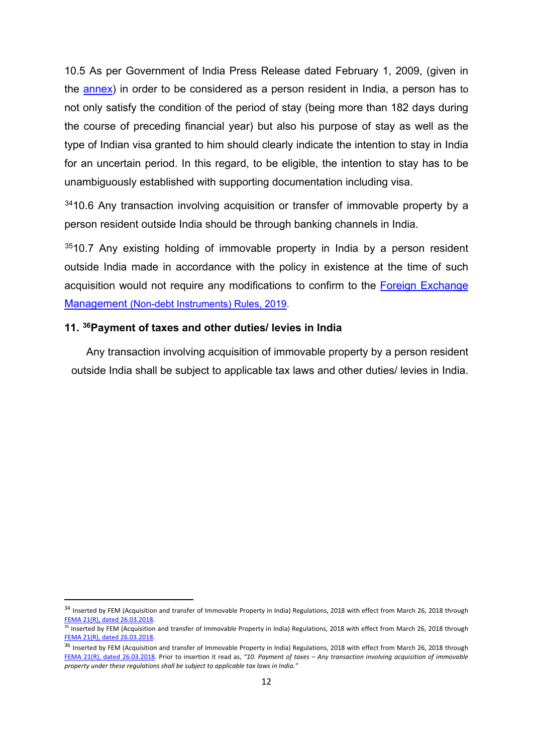10.5 As per Government of India Press Release dated February 1, 2009, (given in the [annex\)](#page-14-0) in order to be considered as a person resident in India, a person has to not only satisfy the condition of the period of stay (being more than 182 days during the course of preceding financial year) but also his purpose of stay as well as the type of Indian visa granted to him should clearly indicate the intention to stay in India for an uncertain period. In this regard, to be eligible, the intention to stay has to be unambiguously established with supporting documentation including visa.

<sup>[34](#page-12-0)</sup>10.6 Any transaction involving acquisition or transfer of immovable property by a person resident outside India should be through banking channels in India.

 $3510.7$  $3510.7$  Any existing holding of immovable property in India by a person resident outside India made in accordance with the policy in existence at the time of such acquisition would not require any modifications to confirm to the **Foreign Exchange** [Management \(Non-debt Instruments\) Rules, 2019.](https://rbi.org.in/Scripts/NotificationUser.aspx?Id=11723&Mode=0)

## **11. [36](#page-12-2)Payment of taxes and other duties/ levies in India**

Any transaction involving acquisition of immovable property by a person resident outside India shall be subject to applicable tax laws and other duties/ levies in India.

<span id="page-12-0"></span><sup>&</sup>lt;sup>34</sup> Inserted by FEM (Acquisition and transfer of Immovable Property in India) Regulations, 2018 with effect from March 26, 2018 through [FEMA 21\(R\), dated 26.03.2018.](https://rbi.org.in/Scripts/NotificationUser.aspx?Id=11248&Mode=0)

<span id="page-12-1"></span><sup>&</sup>lt;sup>35</sup> Inserted by FEM (Acquisition and transfer of Immovable Property in India) Regulations, 2018 with effect from March 26, 2018 through [FEMA 21\(R\), dated 26.03.2018.](https://rbi.org.in/Scripts/NotificationUser.aspx?Id=11248&Mode=0)

<span id="page-12-2"></span><sup>&</sup>lt;sup>36</sup> Inserted by FEM (Acquisition and transfer of Immovable Property in India) Regulations, 2018 with effect from March 26, 2018 through [FEMA 21\(R\), dated 26.03.2018.](https://rbi.org.in/Scripts/NotificationUser.aspx?Id=11248&Mode=0) Prior to insertion it read as, *"10. Payment of taxes – Any transaction involving acquisition of immovable property under these regulations shall be subject to applicable tax laws in India."*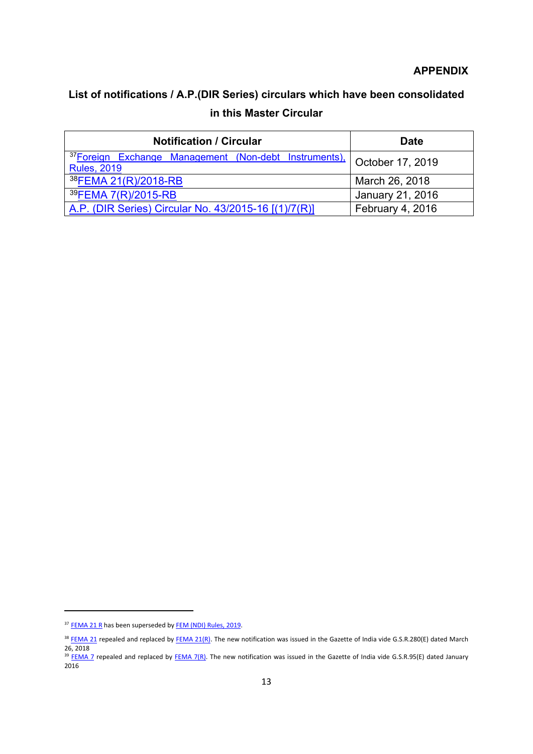## **APPENDIX**

# **List of notifications / A.P.(DIR Series) circulars which have been consolidated in this Master Circular**

| <b>Notification / Circular</b>                                         | <b>Date</b>      |
|------------------------------------------------------------------------|------------------|
| 37Foreign Exchange Management (Non-debt Instruments). October 17, 2019 |                  |
| <b>Rules, 2019</b>                                                     |                  |
| 38FEMA 21(R)/2018-RB                                                   | March 26, 2018   |
| 39FEMA 7(R)/2015-RB                                                    | January 21, 2016 |
| A.P. (DIR Series) Circular No. 43/2015-16 [(1)/7(R)]                   | February 4, 2016 |

**.** 

<span id="page-13-0"></span><sup>&</sup>lt;sup>37</sup> [FEMA 21 R](https://rbi.org.in/Scripts/NotificationUser.aspx?Id=11248&Mode=0) has been superseded b[y FEM \(NDI\) Rules, 2019.](https://rbi.org.in/Scripts/NotificationUser.aspx?Id=11723&Mode=0)

<span id="page-13-1"></span><sup>&</sup>lt;sup>38</sup> [FEMA 21](https://www.rbi.org.in/scripts/NotificationUser.aspx?Id=175&Mode=0) repealed and replaced b[y FEMA 21\(R\).](https://rbi.org.in/Scripts/NotificationUser.aspx?Id=11248&Mode=0) The new notification was issued in the Gazette of India vide G.S.R.280(E) dated March 26, 2018

<span id="page-13-2"></span><sup>&</sup>lt;sup>39</sup> [FEMA 7](https://www.rbi.org.in/Scripts/BS_FemaNotifications.aspx?Id=161) repealed and replaced by [FEMA 7\(R\).](https://rbi.org.in/Scripts/NotificationUser.aspx?Id=10257&Mode=0) The new notification was issued in the Gazette of India vide G.S.R.95(E) dated January  $2016$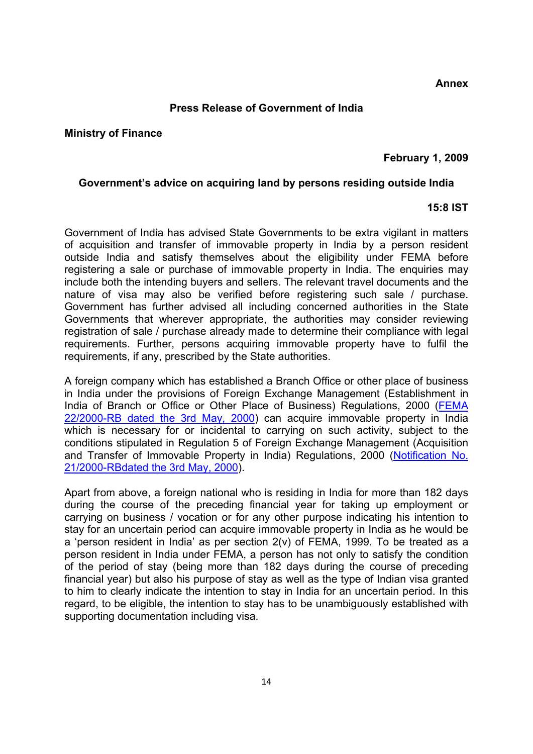#### **Press Release of Government of India**

#### <span id="page-14-0"></span>**Ministry of Finance**

## **February 1, 2009**

#### **Government's advice on acquiring land by persons residing outside India**

## **15:8 IST**

Government of India has advised State Governments to be extra vigilant in matters of acquisition and transfer of immovable property in India by a person resident outside India and satisfy themselves about the eligibility under FEMA before registering a sale or purchase of immovable property in India. The enquiries may include both the intending buyers and sellers. The relevant travel documents and the nature of visa may also be verified before registering such sale / purchase. Government has further advised all including concerned authorities in the State Governments that wherever appropriate, the authorities may consider reviewing registration of sale / purchase already made to determine their compliance with legal requirements. Further, persons acquiring immovable property have to fulfil the requirements, if any, prescribed by the State authorities.

A foreign company which has established a Branch Office or other place of business in India under the provisions of Foreign Exchange Management (Establishment in India of Branch or Office or Other Place of Business) Regulations, 2000 [\(FEMA](https://www.rbi.org.in/Scripts/BS_FemaNotifications.aspx?Id=176)  [22/2000-RB dated the 3rd May, 2000\)](https://www.rbi.org.in/Scripts/BS_FemaNotifications.aspx?Id=176) can acquire immovable property in India which is necessary for or incidental to carrying on such activity, subject to the conditions stipulated in Regulation 5 of Foreign Exchange Management (Acquisition and Transfer of Immovable Property in India) Regulations, 2000 [\(Notification No.](https://www.rbi.org.in/Scripts/BS_FemaNotifications.aspx?Id=175)  [21/2000-RBdated the 3rd May, 2000\)](https://www.rbi.org.in/Scripts/BS_FemaNotifications.aspx?Id=175).

Apart from above, a foreign national who is residing in India for more than 182 days during the course of the preceding financial year for taking up employment or carrying on business / vocation or for any other purpose indicating his intention to stay for an uncertain period can acquire immovable property in India as he would be a 'person resident in India' as per section 2(v) of FEMA, 1999. To be treated as a person resident in India under FEMA, a person has not only to satisfy the condition of the period of stay (being more than 182 days during the course of preceding financial year) but also his purpose of stay as well as the type of Indian visa granted to him to clearly indicate the intention to stay in India for an uncertain period. In this regard, to be eligible, the intention to stay has to be unambiguously established with supporting documentation including visa.